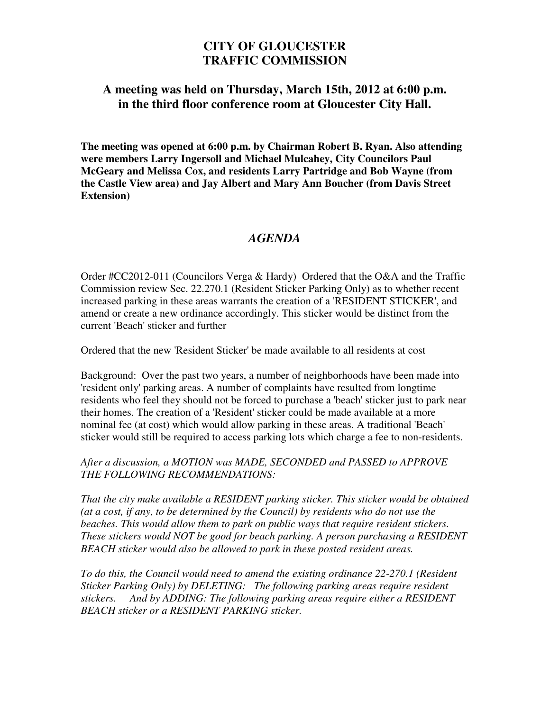## **CITY OF GLOUCESTER TRAFFIC COMMISSION**

## **A meeting was held on Thursday, March 15th, 2012 at 6:00 p.m. in the third floor conference room at Gloucester City Hall.**

**The meeting was opened at 6:00 p.m. by Chairman Robert B. Ryan. Also attending were members Larry Ingersoll and Michael Mulcahey, City Councilors Paul McGeary and Melissa Cox, and residents Larry Partridge and Bob Wayne (from the Castle View area) and Jay Albert and Mary Ann Boucher (from Davis Street Extension)** 

## *AGENDA*

Order #CC2012-011 (Councilors Verga & Hardy) Ordered that the O&A and the Traffic Commission review Sec. 22.270.1 (Resident Sticker Parking Only) as to whether recent increased parking in these areas warrants the creation of a 'RESIDENT STICKER', and amend or create a new ordinance accordingly. This sticker would be distinct from the current 'Beach' sticker and further

Ordered that the new 'Resident Sticker' be made available to all residents at cost

Background: Over the past two years, a number of neighborhoods have been made into 'resident only' parking areas. A number of complaints have resulted from longtime residents who feel they should not be forced to purchase a 'beach' sticker just to park near their homes. The creation of a 'Resident' sticker could be made available at a more nominal fee (at cost) which would allow parking in these areas. A traditional 'Beach' sticker would still be required to access parking lots which charge a fee to non-residents.

## *After a discussion, a MOTION was MADE, SECONDED and PASSED to APPROVE THE FOLLOWING RECOMMENDATIONS:*

*That the city make available a RESIDENT parking sticker. This sticker would be obtained (at a cost, if any, to be determined by the Council) by residents who do not use the beaches. This would allow them to park on public ways that require resident stickers. These stickers would NOT be good for beach parking. A person purchasing a RESIDENT BEACH sticker would also be allowed to park in these posted resident areas.* 

*To do this, the Council would need to amend the existing ordinance 22-270.1 (Resident Sticker Parking Only) by DELETING: The following parking areas require resident stickers. And by ADDING: The following parking areas require either a RESIDENT BEACH sticker or a RESIDENT PARKING sticker.*